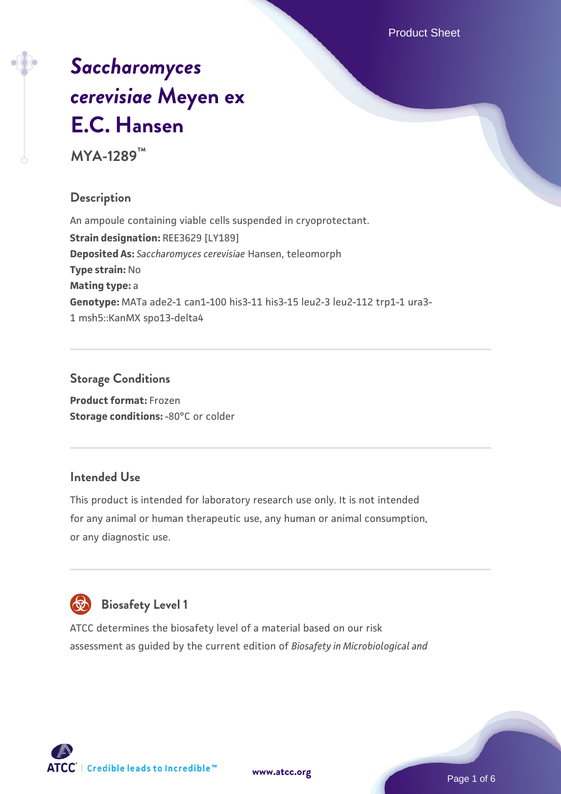# *[Saccharomyces](https://www.atcc.org/products/mya-1289) [cerevisiae](https://www.atcc.org/products/mya-1289)* **[Meyen ex](https://www.atcc.org/products/mya-1289) [E.C. Hansen](https://www.atcc.org/products/mya-1289)**

**MYA-1289™**

## **Description**

An ampoule containing viable cells suspended in cryoprotectant. **Strain designation: REE3629 [LY189] Deposited As:** *Saccharomyces cerevisiae* Hansen, teleomorph **Type strain:** No **Mating type:** a **Genotype:** MATa ade2-1 can1-100 his3-11 his3-15 leu2-3 leu2-112 trp1-1 ura3- 1 msh5::KanMX spo13-delta4

## **Storage Conditions**

**Product format:** Frozen **Storage conditions: -80°C or colder** 

## **Intended Use**

This product is intended for laboratory research use only. It is not intended for any animal or human therapeutic use, any human or animal consumption, or any diagnostic use.



# **Biosafety Level 1**

ATCC determines the biosafety level of a material based on our risk assessment as guided by the current edition of *Biosafety in Microbiological and*



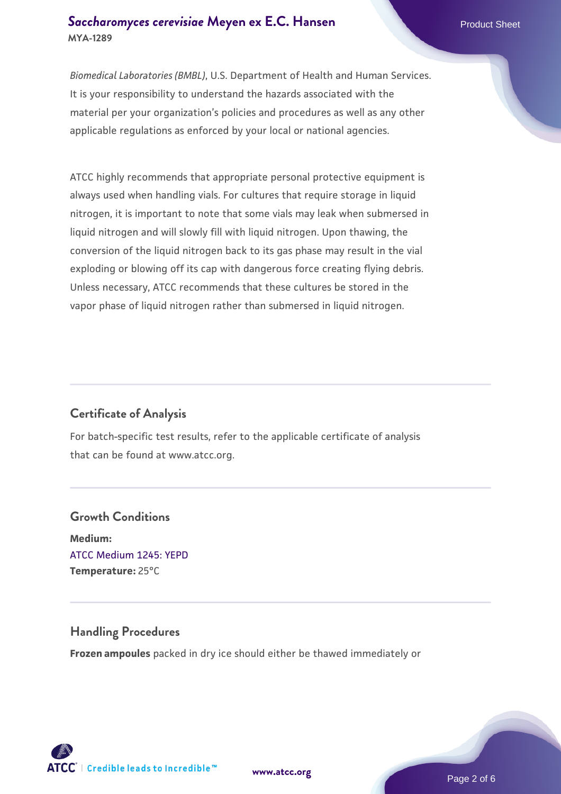## **[Saccharomyces cerevisiae](https://www.atcc.org/products/mya-1289)** [Meyen ex E.C. Hansen](https://www.atcc.org/products/mya-1289) **MYA-1289**

*Biomedical Laboratories (BMBL)*, U.S. Department of Health and Human Services. It is your responsibility to understand the hazards associated with the material per your organization's policies and procedures as well as any other applicable regulations as enforced by your local or national agencies.

ATCC highly recommends that appropriate personal protective equipment is always used when handling vials. For cultures that require storage in liquid nitrogen, it is important to note that some vials may leak when submersed in liquid nitrogen and will slowly fill with liquid nitrogen. Upon thawing, the conversion of the liquid nitrogen back to its gas phase may result in the vial exploding or blowing off its cap with dangerous force creating flying debris. Unless necessary, ATCC recommends that these cultures be stored in the vapor phase of liquid nitrogen rather than submersed in liquid nitrogen.

## **Certificate of Analysis**

For batch-specific test results, refer to the applicable certificate of analysis that can be found at www.atcc.org.

## **Growth Conditions Medium:**  [ATCC Medium 1245: YEPD](https://www.atcc.org/-/media/product-assets/documents/microbial-media-formulations/1/2/4/5/atcc-medium-1245.pdf?rev=705ca55d1b6f490a808a965d5c072196) **Temperature:** 25°C

## **Handling Procedures**

**Frozen ampoules** packed in dry ice should either be thawed immediately or



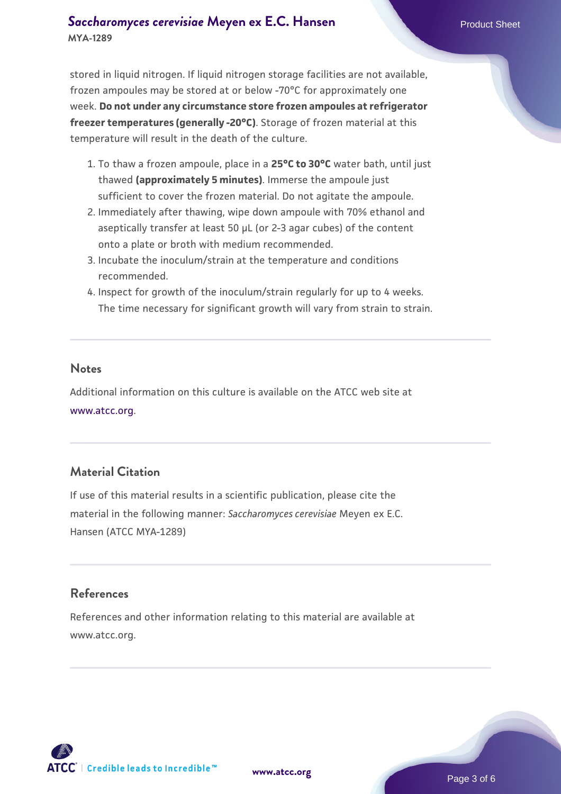## **[Saccharomyces cerevisiae](https://www.atcc.org/products/mya-1289)** [Meyen ex E.C. Hansen](https://www.atcc.org/products/mya-1289) **MYA-1289**

stored in liquid nitrogen. If liquid nitrogen storage facilities are not available, frozen ampoules may be stored at or below -70°C for approximately one week. **Do not under any circumstance store frozen ampoules at refrigerator freezer temperatures (generally -20°C)**. Storage of frozen material at this temperature will result in the death of the culture.

- 1. To thaw a frozen ampoule, place in a **25°C to 30°C** water bath, until just thawed **(approximately 5 minutes)**. Immerse the ampoule just sufficient to cover the frozen material. Do not agitate the ampoule.
- 2. Immediately after thawing, wipe down ampoule with 70% ethanol and aseptically transfer at least 50 µL (or 2-3 agar cubes) of the content onto a plate or broth with medium recommended.
- 3. Incubate the inoculum/strain at the temperature and conditions recommended.
- 4. Inspect for growth of the inoculum/strain regularly for up to 4 weeks. The time necessary for significant growth will vary from strain to strain.

#### **Notes**

Additional information on this culture is available on the ATCC web site at [www.atcc.org.](http://www.atcc.org/)

## **Material Citation**

If use of this material results in a scientific publication, please cite the material in the following manner: *Saccharomyces cerevisiae* Meyen ex E.C. Hansen (ATCC MYA-1289)

## **References**

References and other information relating to this material are available at www.atcc.org.

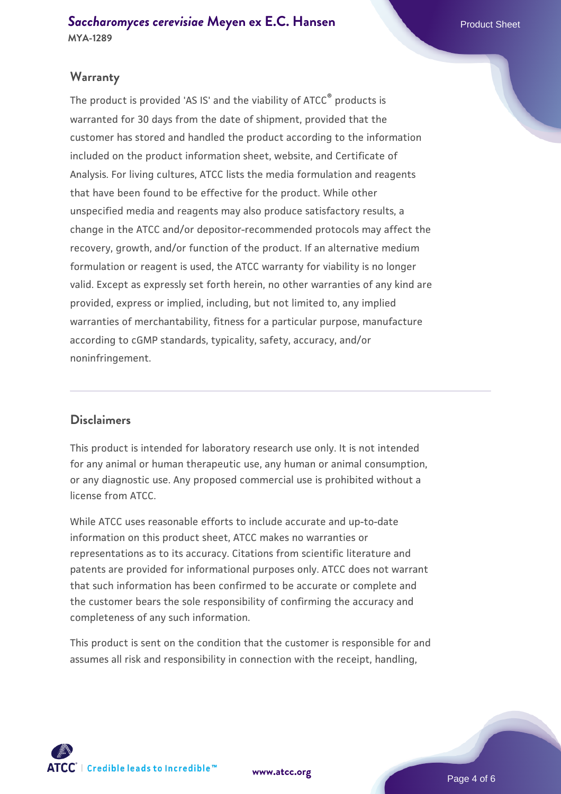## **Warranty**

The product is provided 'AS IS' and the viability of ATCC® products is warranted for 30 days from the date of shipment, provided that the customer has stored and handled the product according to the information included on the product information sheet, website, and Certificate of Analysis. For living cultures, ATCC lists the media formulation and reagents that have been found to be effective for the product. While other unspecified media and reagents may also produce satisfactory results, a change in the ATCC and/or depositor-recommended protocols may affect the recovery, growth, and/or function of the product. If an alternative medium formulation or reagent is used, the ATCC warranty for viability is no longer valid. Except as expressly set forth herein, no other warranties of any kind are provided, express or implied, including, but not limited to, any implied warranties of merchantability, fitness for a particular purpose, manufacture according to cGMP standards, typicality, safety, accuracy, and/or noninfringement.

### **Disclaimers**

This product is intended for laboratory research use only. It is not intended for any animal or human therapeutic use, any human or animal consumption, or any diagnostic use. Any proposed commercial use is prohibited without a license from ATCC.

While ATCC uses reasonable efforts to include accurate and up-to-date information on this product sheet, ATCC makes no warranties or representations as to its accuracy. Citations from scientific literature and patents are provided for informational purposes only. ATCC does not warrant that such information has been confirmed to be accurate or complete and the customer bears the sole responsibility of confirming the accuracy and completeness of any such information.

This product is sent on the condition that the customer is responsible for and assumes all risk and responsibility in connection with the receipt, handling,



**[www.atcc.org](http://www.atcc.org)**

Page 4 of 6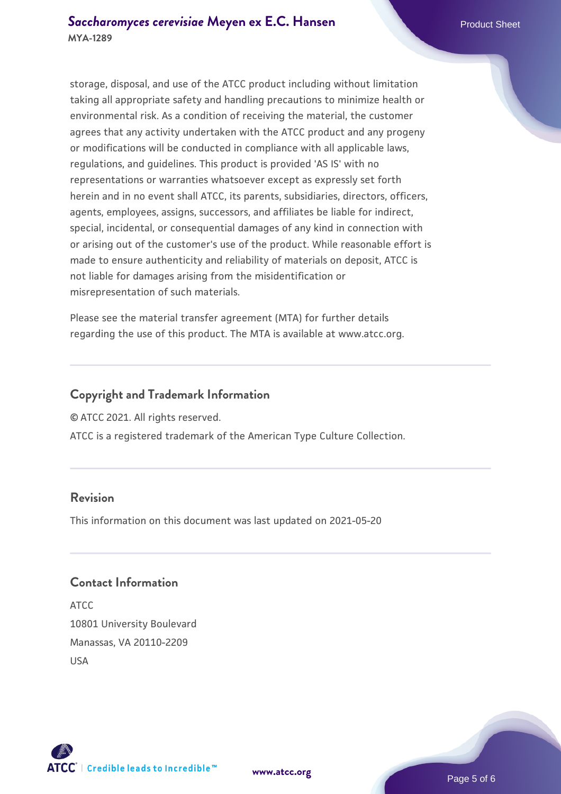storage, disposal, and use of the ATCC product including without limitation taking all appropriate safety and handling precautions to minimize health or environmental risk. As a condition of receiving the material, the customer agrees that any activity undertaken with the ATCC product and any progeny or modifications will be conducted in compliance with all applicable laws, regulations, and guidelines. This product is provided 'AS IS' with no representations or warranties whatsoever except as expressly set forth herein and in no event shall ATCC, its parents, subsidiaries, directors, officers, agents, employees, assigns, successors, and affiliates be liable for indirect, special, incidental, or consequential damages of any kind in connection with or arising out of the customer's use of the product. While reasonable effort is made to ensure authenticity and reliability of materials on deposit, ATCC is not liable for damages arising from the misidentification or misrepresentation of such materials.

Please see the material transfer agreement (MTA) for further details regarding the use of this product. The MTA is available at www.atcc.org.

## **Copyright and Trademark Information**

© ATCC 2021. All rights reserved.

ATCC is a registered trademark of the American Type Culture Collection.

## **Revision**

This information on this document was last updated on 2021-05-20

## **Contact Information**

ATCC 10801 University Boulevard Manassas, VA 20110-2209 USA